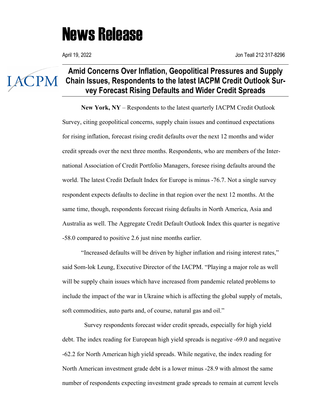## News Release

IACPM

## **Amid Concerns Over Inflation, Geopolitical Pressures and Supply Chain Issues, Respondents to the latest IACPM Credit Outlook Survey Forecast Rising Defaults and Wider Credit Spreads**

**New York, NY** – Respondents to the latest quarterly IACPM Credit Outlook Survey, citing geopolitical concerns, supply chain issues and continued expectations for rising inflation, forecast rising credit defaults over the next 12 months and wider credit spreads over the next three months. Respondents, who are members of the International Association of Credit Portfolio Managers, foresee rising defaults around the world. The latest Credit Default Index for Europe is minus -76.7. Not a single survey respondent expects defaults to decline in that region over the next 12 months. At the same time, though, respondents forecast rising defaults in North America, Asia and Australia as well. The Aggregate Credit Default Outlook Index this quarter is negative -58.0 compared to positive 2.6 just nine months earlier.

"Increased defaults will be driven by higher inflation and rising interest rates," said Som-lok Leung, Executive Director of the IACPM. "Playing a major role as well will be supply chain issues which have increased from pandemic related problems to include the impact of the war in Ukraine which is affecting the global supply of metals, soft commodities, auto parts and, of course, natural gas and oil."

 Survey respondents forecast wider credit spreads, especially for high yield debt. The index reading for European high yield spreads is negative -69.0 and negative -62.2 for North American high yield spreads. While negative, the index reading for North American investment grade debt is a lower minus -28.9 with almost the same number of respondents expecting investment grade spreads to remain at current levels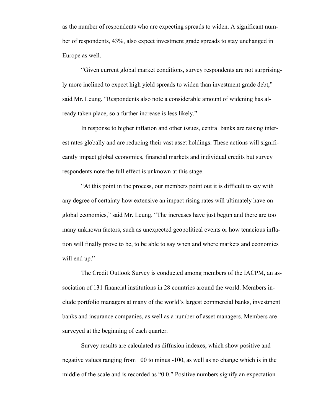as the number of respondents who are expecting spreads to widen. A significant number of respondents, 43%, also expect investment grade spreads to stay unchanged in Europe as well.

"Given current global market conditions, survey respondents are not surprisingly more inclined to expect high yield spreads to widen than investment grade debt," said Mr. Leung. "Respondents also note a considerable amount of widening has already taken place, so a further increase is less likely."

In response to higher inflation and other issues, central banks are raising interest rates globally and are reducing their vast asset holdings. These actions will significantly impact global economies, financial markets and individual credits but survey respondents note the full effect is unknown at this stage.

"At this point in the process, our members point out it is difficult to say with any degree of certainty how extensive an impact rising rates will ultimately have on global economies," said Mr. Leung. "The increases have just begun and there are too many unknown factors, such as unexpected geopolitical events or how tenacious inflation will finally prove to be, to be able to say when and where markets and economies will end up."

The Credit Outlook Survey is conducted among members of the IACPM, an association of 131 financial institutions in 28 countries around the world. Members include portfolio managers at many of the world's largest commercial banks, investment banks and insurance companies, as well as a number of asset managers. Members are surveyed at the beginning of each quarter.

Survey results are calculated as diffusion indexes, which show positive and negative values ranging from 100 to minus -100, as well as no change which is in the middle of the scale and is recorded as "0.0." Positive numbers signify an expectation